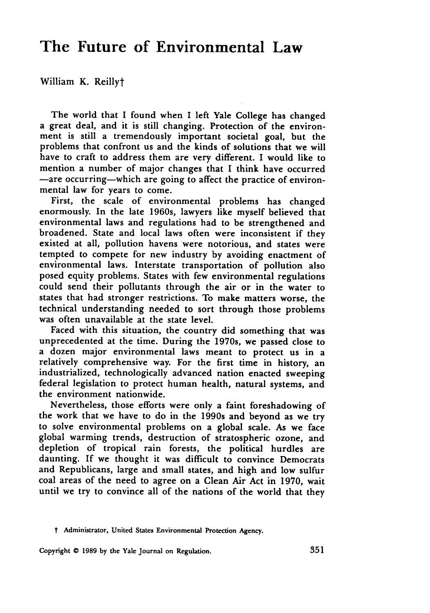## **The Future of Environmental Law**

William K. Reillyt

The world that I found when I left Yale College has changed a great deal, and it is still changing. Protection of the environment is still a tremendously important societal goal, but the problems that confront us and the kinds of solutions that we will have to craft to address them are very different. **I** would like to mention a number of major changes that **I** think have occurred -are occurring-which are going to affect the practice of environmental law for years to come.

First, the scale of environmental problems has changed enormously. In the late 1960s, lawyers like myself believed that environmental laws and regulations had to be strengthened and broadened. State and local laws often were inconsistent if they existed at all, pollution havens were notorious, and states were tempted to compete for new industry **by** avoiding enactment of environmental laws. Interstate transportation of pollution also posed equity problems. States with few environmental regulations could send their pollutants through the air or in the water to states that had stronger restrictions. To make matters worse, the technical understanding needed to sort through those problems was often unavailable at the state level.

Faced with this situation, the country did something that was unprecedented at the time. During the 1970s, we passed close to a dozen major environmental laws meant to protect us in a relatively comprehensive way. For the first time in history, an industrialized, technologically advanced nation enacted sweeping federal legislation to protect human health, natural systems, and the environment nationwide.

Nevertheless, those efforts were only a faint foreshadowing of the work that we have to do in the 1990s and beyond as we try to solve environmental problems on a global scale. As we face global warming trends, destruction of stratospheric ozone, and depletion of tropical rain forests, the political hurdles are daunting. **If** we thought it was difficult to convince Democrats and Republicans, large and small states, and high and low sulfur coal areas of the need to agree on a Clean Air Act in **1970,** wait until we try to convince all of the nations of the world that they

t Administrator, United States Environmental Protection Agency.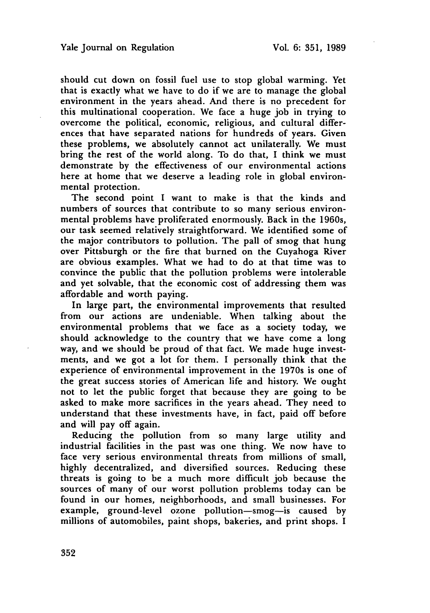should cut down on fossil fuel use to stop global warming. Yet that is exactly what we have to do if we are to manage the global environment in the years ahead. And there is no precedent for this multinational cooperation. We face a huge **job** in trying to overcome the political, economic, religious, and cultural differences that have separated nations for hundreds of years. Given these problems, we absolutely cannot act unilaterally. We must bring the rest of the world along. To do that, I think we must demonstrate **by** the effectiveness of our environmental actions here at home that we deserve a leading role in global environmental protection.

The second point I want to make is that the kinds and numbers of sources that contribute to so many serious environmental problems have proliferated enormously. Back in the 1960s, our task seemed relatively straightforward. We identified some of the major contributors to pollution. The pall of smog that hung over Pittsburgh or the fire that burned on the Cuyahoga River are obvious examples. What we had to do at that time was to convince the public that the pollution problems were intolerable and yet solvable, that the economic cost of addressing them was affordable and worth paying.

In large part, the environmental improvements that resulted from our actions are undeniable. When talking about the environmental problems that we face as a society today, we should acknowledge to the country that we have come a long way, and we should be proud of that fact. We made huge investments, and we got a lot for them. I personally think that the experience of environmental improvement in the 1970s is one of the great success stories of American life and history. We ought not to let the public forget that because they are going to be asked to make more sacrifices in the years ahead. They need to understand that these investments have, in fact, paid off before and will pay off again.

Reducing the pollution from so many large utility and industrial facilities in the past was one thing. We now have to face very serious environmental threats from millions of small, highly decentralized, and diversified sources. Reducing these threats is going to be a much more difficult **job** because the sources of many of our worst pollution problems today can be found in our homes, neighborhoods, and small businesses. For example, ground-level ozone pollution-smog-is caused **by** millions of automobiles, paint shops, bakeries, and print shops. I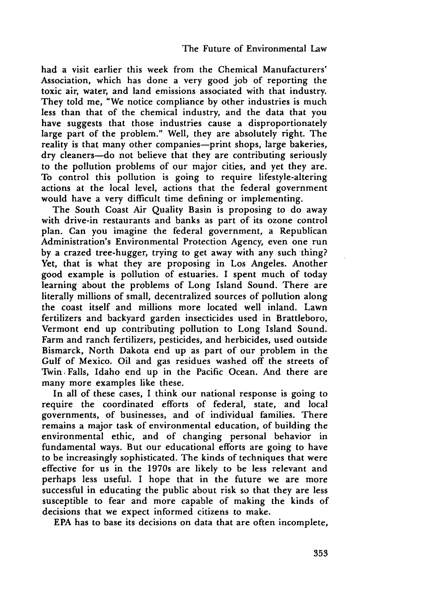had a visit earlier this week from the Chemical Manufacturers' Association, which has done a very good job of reporting the toxic air, water, and land emissions associated with that industry. They told me, "We notice compliance by other industries is much less than that of the chemical industry, and the data that you have suggests that those industries cause a disproportionately large part of the problem." Well, they are absolutely right. The reality is that many other companies-print shops, large bakeries, dry cleaners-do not believe that they are contributing seriously to the pollution problems of our major cities, and yet they are. To control this pollution is going to require lifestyle-altering actions at the local level, actions that the federal government would have a very difficult time defining or implementing.

The South Coast Air Quality Basin is proposing to do away with drive-in restaurants and banks as part of its ozone control plan. Can you imagine the federal government, a Republican Administration's Environmental Protection Agency, even one run by a crazed tree-hugger, trying to get away with any such thing? Yet, that is what they are proposing in Los Angeles. Another good example is pollution of estuaries. I spent much of today learning about the problems of Long Island Sound. There are literally millions of small, decentralized sources of pollution along the coast itself and millions more located well inland. Lawn fertilizers and backyard garden insecticides used in Brattleboro, Vermont end up contributing pollution to Long Island Sound. Farm and ranch fertilizers, pesticides, and herbicides, used outside Bismarck, North Dakota end up as part of our problem in the Gulf of Mexico. Oil and gas residues washed off the streets of Twin. Falls, Idaho end up in the Pacific Ocean. And there are many more examples like these.

In all of these cases, I think our national response is going to require the coordinated efforts of federal, state, and local governments, of businesses, and of individual families. There remains a major task of environmental education, of building the environmental ethic, and of changing personal behavior in fundamental ways. But our educational efforts are going to have to be increasingly sophisticated. The kinds of techniques that were effective for us in the 1970s are likely to be less relevant and perhaps less useful. I hope that in the future we are more successful in educating the public about risk so that they are less susceptible to fear and more capable of making the kinds of decisions that we expect informed citizens to make.

EPA has to base its decisions on data that are often incomplete,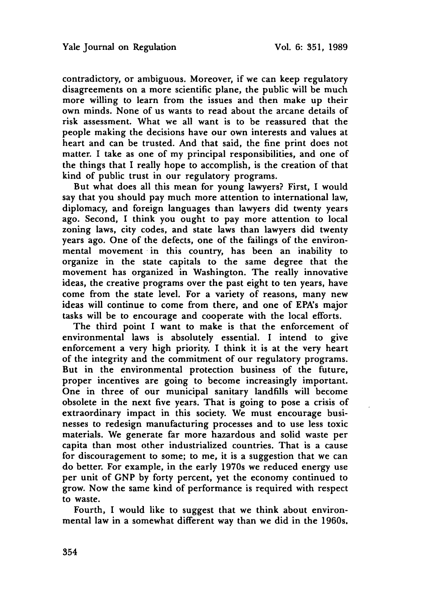contradictory, or ambiguous. Moreover, if we can keep regulatory disagreements on a more scientific plane, the public will be much more willing to learn from the issues and then make up their own minds. None of us wants to read about the arcane details of risk assessment. What we all want is to be reassured that the people making the decisions have our own interests and values at heart and can be trusted. And that said, the fine print does not matter. I take as one of my principal responsibilities, and one of the things that **I** really hope to accomplish, is the creation of that kind of public trust in our regulatory programs.

But what does all this mean for young lawyers? First, **I** would say that you should pay much more attention to international law, diplomacy, and foreign languages than lawyers did twenty years ago. Second, **I** think you ought to pay more attention to local zoning laws, city codes, and state laws than lawyers did twenty years ago. One of the defects, one of the failings of the environmental movement in this country, has been an inability to organize in the state capitals to the same degree that the movement has organized in Washington. The really innovative ideas, the creative programs over the past eight to ten years, have come from the state level. For a variety of reasons, many new ideas will continue to come from there, and one of EPA's major tasks will be to encourage and cooperate with the local efforts.

The third point **I** want to make is that the enforcement of environmental laws is absolutely essential. **I** intend to give enforcement a very high priority. **I** think it is at the very heart of the integrity and the commitment of our regulatory programs. But in the environmental protection business of the future, proper incentives are going to become increasingly important. One in three of our municipal sanitary landfills will become obsolete in the next five years. That is going to pose a crisis of extraordinary impact in this society. We must encourage businesses to redesign manufacturing processes and to use less toxic materials. We generate far more hazardous and solid waste per capita than most other industrialized countries. That is a cause for discouragement to some; to me, it is a suggestion that we can do better. For example, in the early 1970s we reduced energy use per unit of **GNP by** forty percent, yet the economy continued to grow. Now the same kind of performance is required with respect to waste.

Fourth, **I** would like to suggest that we think about environmental law in a somewhat different way than we did in the 1960s.